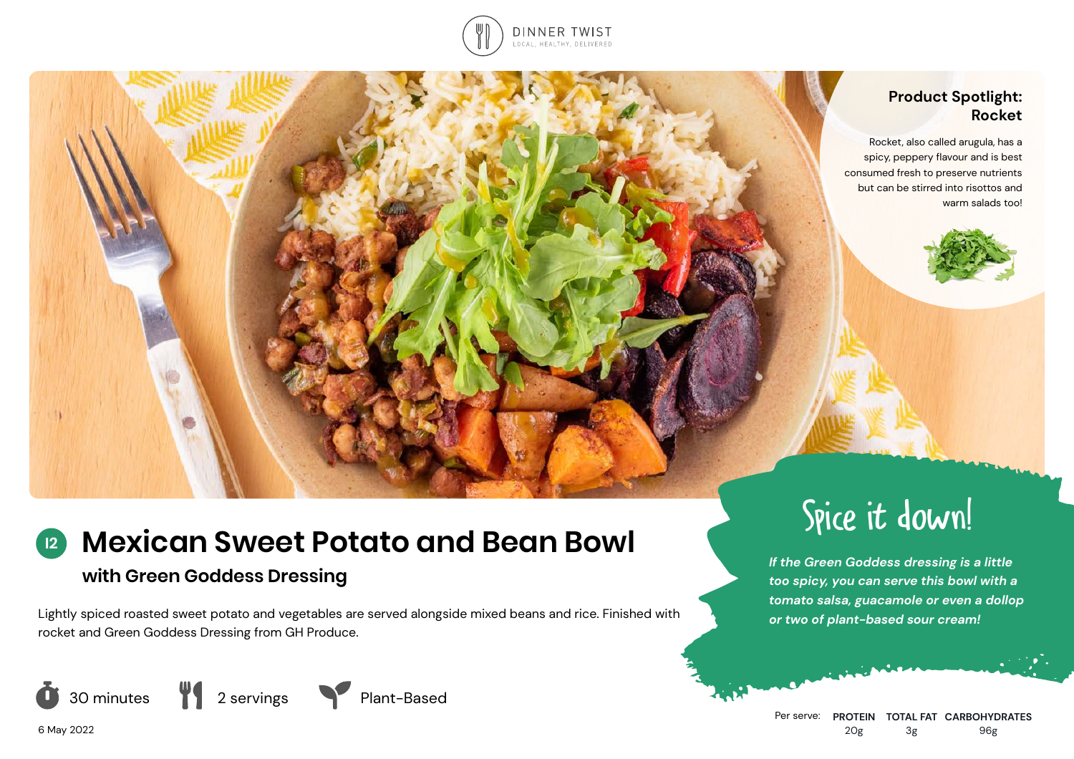

## **Product Spotlight: Rocket**

Rocket, also called arugula, has a spicy, peppery flavour and is best consumed fresh to preserve nutrients but can be stirred into risottos and warm salads too!



# **Mexican Sweet Potato and Bean Bowl I2**

# **with Green Goddess Dressing**

Lightly spiced roasted sweet potato and vegetables are served alongside mixed beans and rice. Finished with rocket and Green Goddess Dressing from GH Produce.







# Spice it down!

*If the Green Goddess dressing is a little too spicy, you can serve this bowl with a tomato salsa, guacamole or even a dollop or two of plant-based sour cream!*